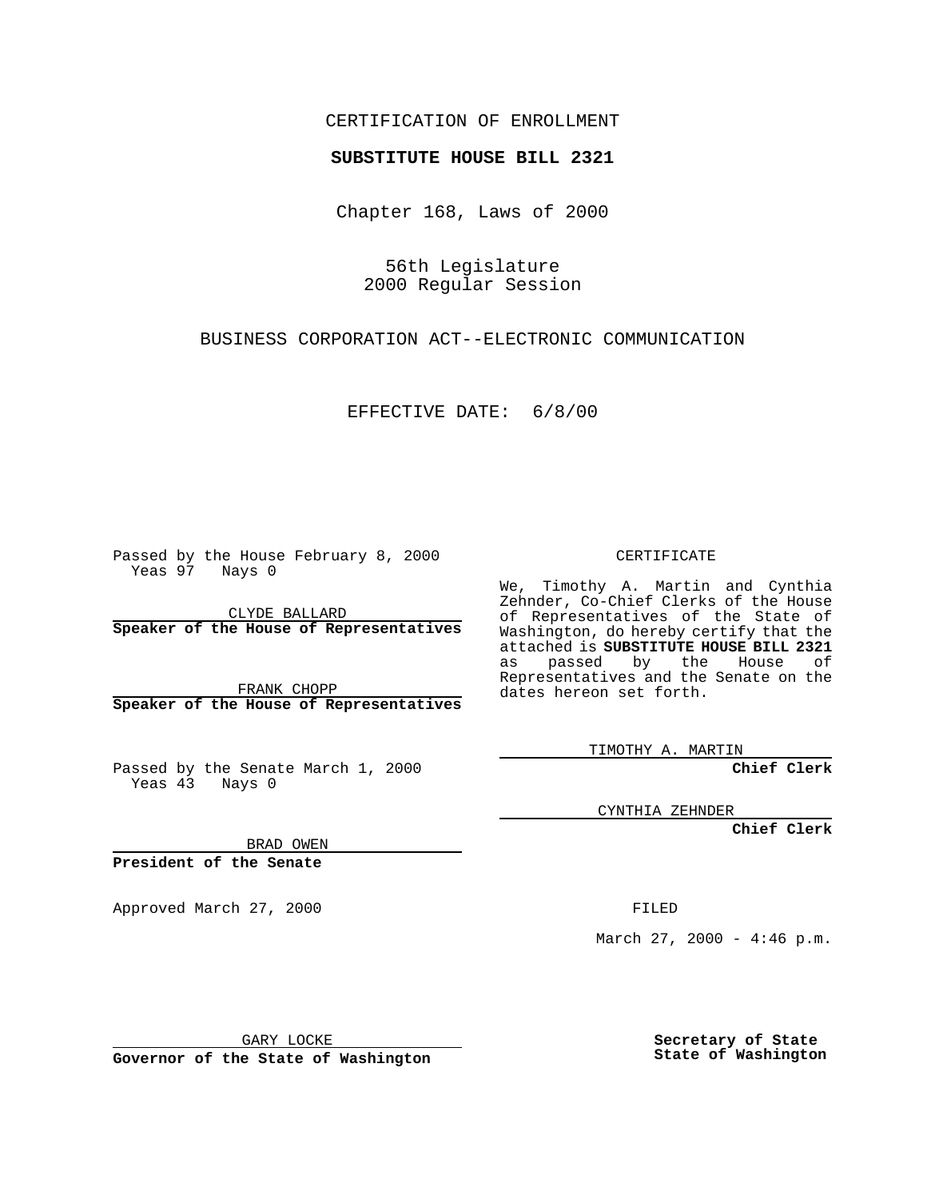## CERTIFICATION OF ENROLLMENT

## **SUBSTITUTE HOUSE BILL 2321**

Chapter 168, Laws of 2000

56th Legislature 2000 Regular Session

BUSINESS CORPORATION ACT--ELECTRONIC COMMUNICATION

EFFECTIVE DATE: 6/8/00

Passed by the House February 8, 2000 Yeas 97 Nays 0

CLYDE BALLARD **Speaker of the House of Representatives**

FRANK CHOPP **Speaker of the House of Representatives**

Passed by the Senate March 1, 2000 Yeas 43 Nays 0

CERTIFICATE

We, Timothy A. Martin and Cynthia Zehnder, Co-Chief Clerks of the House of Representatives of the State of Washington, do hereby certify that the attached is **SUBSTITUTE HOUSE BILL 2321** as passed by the House of Representatives and the Senate on the dates hereon set forth.

TIMOTHY A. MARTIN

**Chief Clerk**

CYNTHIA ZEHNDER

**Chief Clerk**

BRAD OWEN

**President of the Senate**

Approved March 27, 2000 FILED

March 27, 2000 - 4:46 p.m.

GARY LOCKE

**Governor of the State of Washington**

**Secretary of State State of Washington**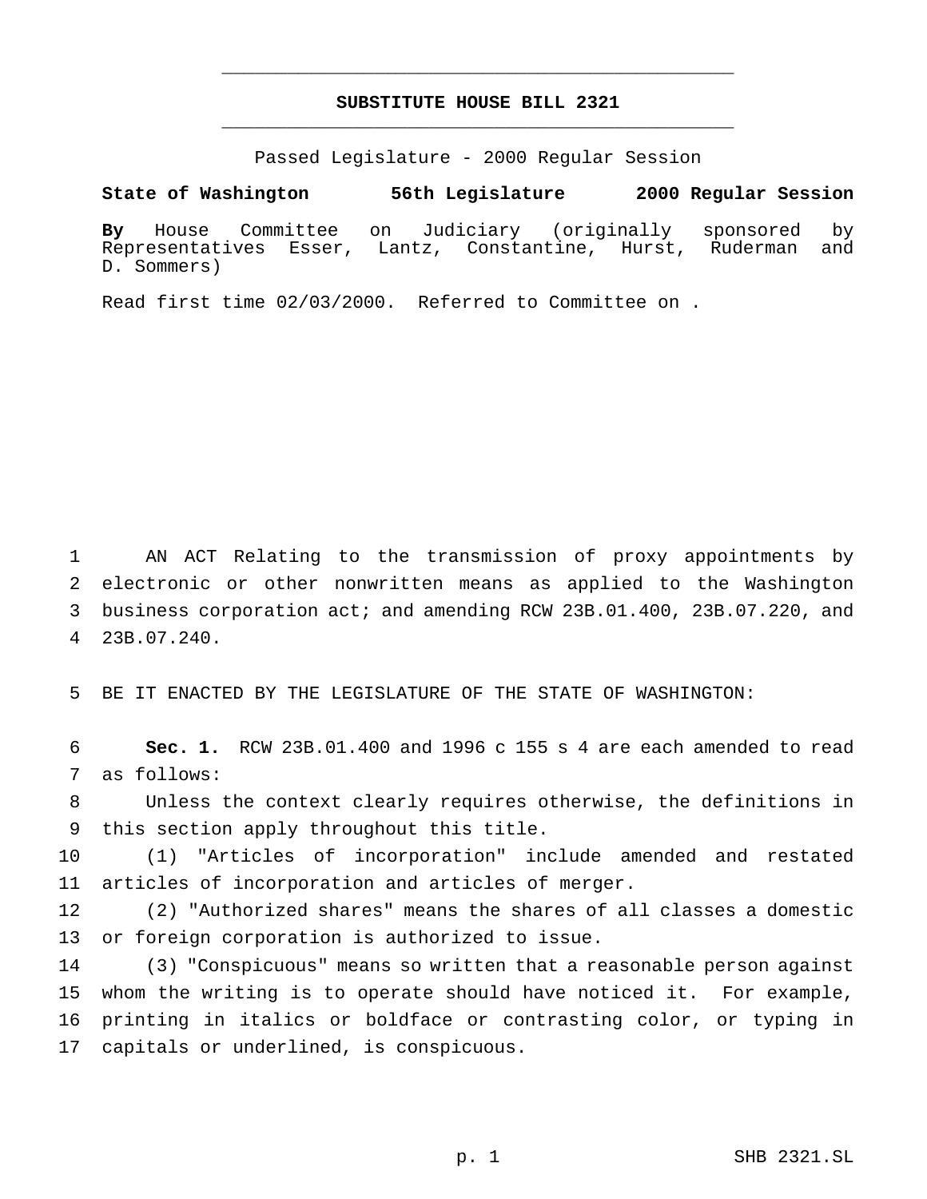## **SUBSTITUTE HOUSE BILL 2321** \_\_\_\_\_\_\_\_\_\_\_\_\_\_\_\_\_\_\_\_\_\_\_\_\_\_\_\_\_\_\_\_\_\_\_\_\_\_\_\_\_\_\_\_\_\_\_

\_\_\_\_\_\_\_\_\_\_\_\_\_\_\_\_\_\_\_\_\_\_\_\_\_\_\_\_\_\_\_\_\_\_\_\_\_\_\_\_\_\_\_\_\_\_\_

Passed Legislature - 2000 Regular Session

**State of Washington 56th Legislature 2000 Regular Session**

**By** House Committee on Judiciary (originally sponsored by Representatives Esser, Lantz, Constantine, Hurst, Ruderman and D. Sommers)

Read first time 02/03/2000. Referred to Committee on .

 AN ACT Relating to the transmission of proxy appointments by electronic or other nonwritten means as applied to the Washington business corporation act; and amending RCW 23B.01.400, 23B.07.220, and 23B.07.240.

BE IT ENACTED BY THE LEGISLATURE OF THE STATE OF WASHINGTON:

 **Sec. 1.** RCW 23B.01.400 and 1996 c 155 s 4 are each amended to read as follows:

 Unless the context clearly requires otherwise, the definitions in this section apply throughout this title.

 (1) "Articles of incorporation" include amended and restated articles of incorporation and articles of merger.

 (2) "Authorized shares" means the shares of all classes a domestic or foreign corporation is authorized to issue.

 (3) "Conspicuous" means so written that a reasonable person against whom the writing is to operate should have noticed it. For example, printing in italics or boldface or contrasting color, or typing in capitals or underlined, is conspicuous.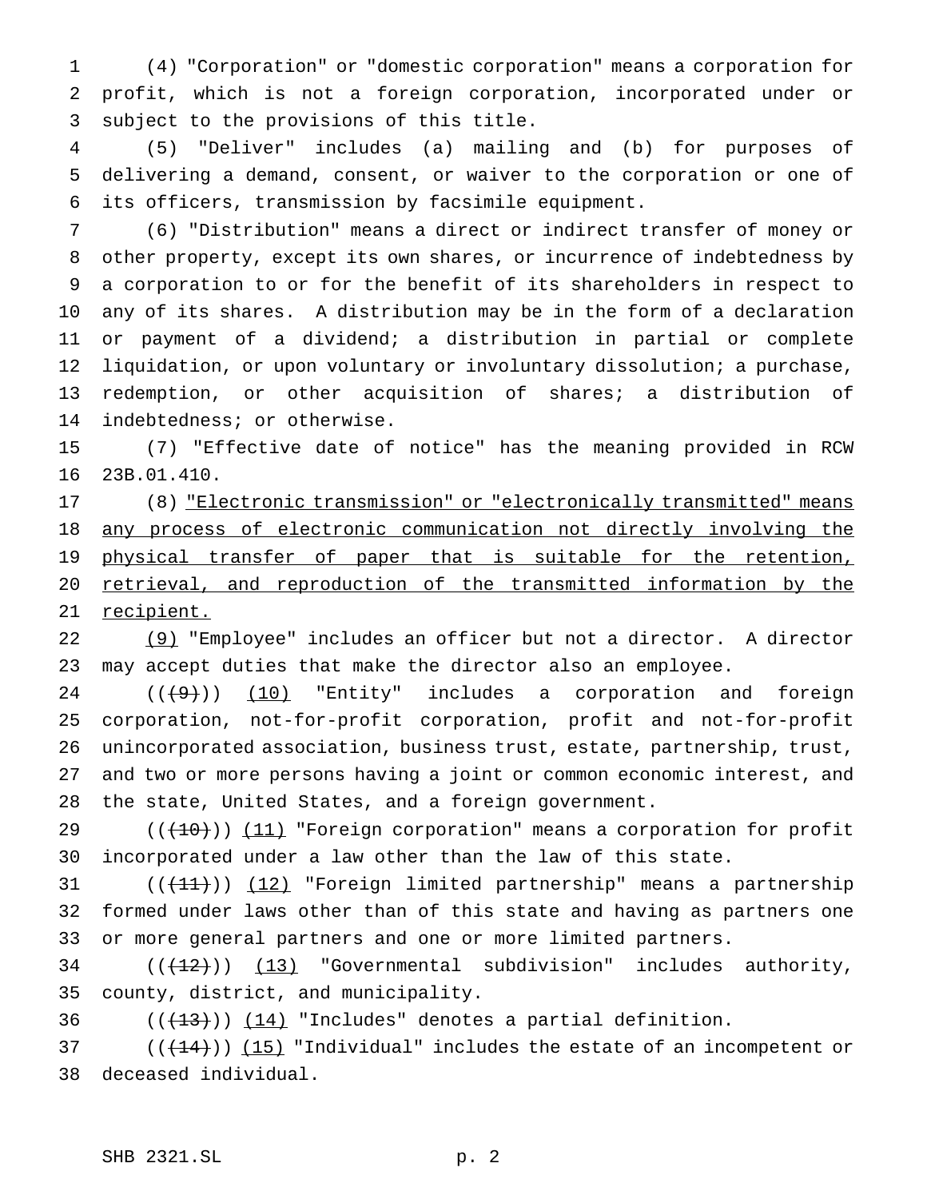(4) "Corporation" or "domestic corporation" means a corporation for profit, which is not a foreign corporation, incorporated under or subject to the provisions of this title.

 (5) "Deliver" includes (a) mailing and (b) for purposes of delivering a demand, consent, or waiver to the corporation or one of its officers, transmission by facsimile equipment.

 (6) "Distribution" means a direct or indirect transfer of money or other property, except its own shares, or incurrence of indebtedness by a corporation to or for the benefit of its shareholders in respect to any of its shares. A distribution may be in the form of a declaration or payment of a dividend; a distribution in partial or complete liquidation, or upon voluntary or involuntary dissolution; a purchase, redemption, or other acquisition of shares; a distribution of indebtedness; or otherwise.

 (7) "Effective date of notice" has the meaning provided in RCW 23B.01.410.

 (8) "Electronic transmission" or "electronically transmitted" means any process of electronic communication not directly involving the 19 physical transfer of paper that is suitable for the retention, 20 retrieval, and reproduction of the transmitted information by the 21 recipient.

 (9) "Employee" includes an officer but not a director. A director may accept duties that make the director also an employee.

  $((+9))$   $(10)$  "Entity" includes a corporation and foreign corporation, not-for-profit corporation, profit and not-for-profit unincorporated association, business trust, estate, partnership, trust, and two or more persons having a joint or common economic interest, and the state, United States, and a foreign government.

29 (( $(10)$ )) (11) "Foreign corporation" means a corporation for profit incorporated under a law other than the law of this state.

 (( $\left(\frac{11}{11}\right)$ ) (12) "Foreign limited partnership" means a partnership formed under laws other than of this state and having as partners one or more general partners and one or more limited partners.

34  $((+12))$   $(13)$  "Governmental subdivision" includes authority, county, district, and municipality.

36  $((+13))$   $(14)$  "Includes" denotes a partial definition.

37  $((+14))$   $(15)$  "Individual" includes the estate of an incompetent or deceased individual.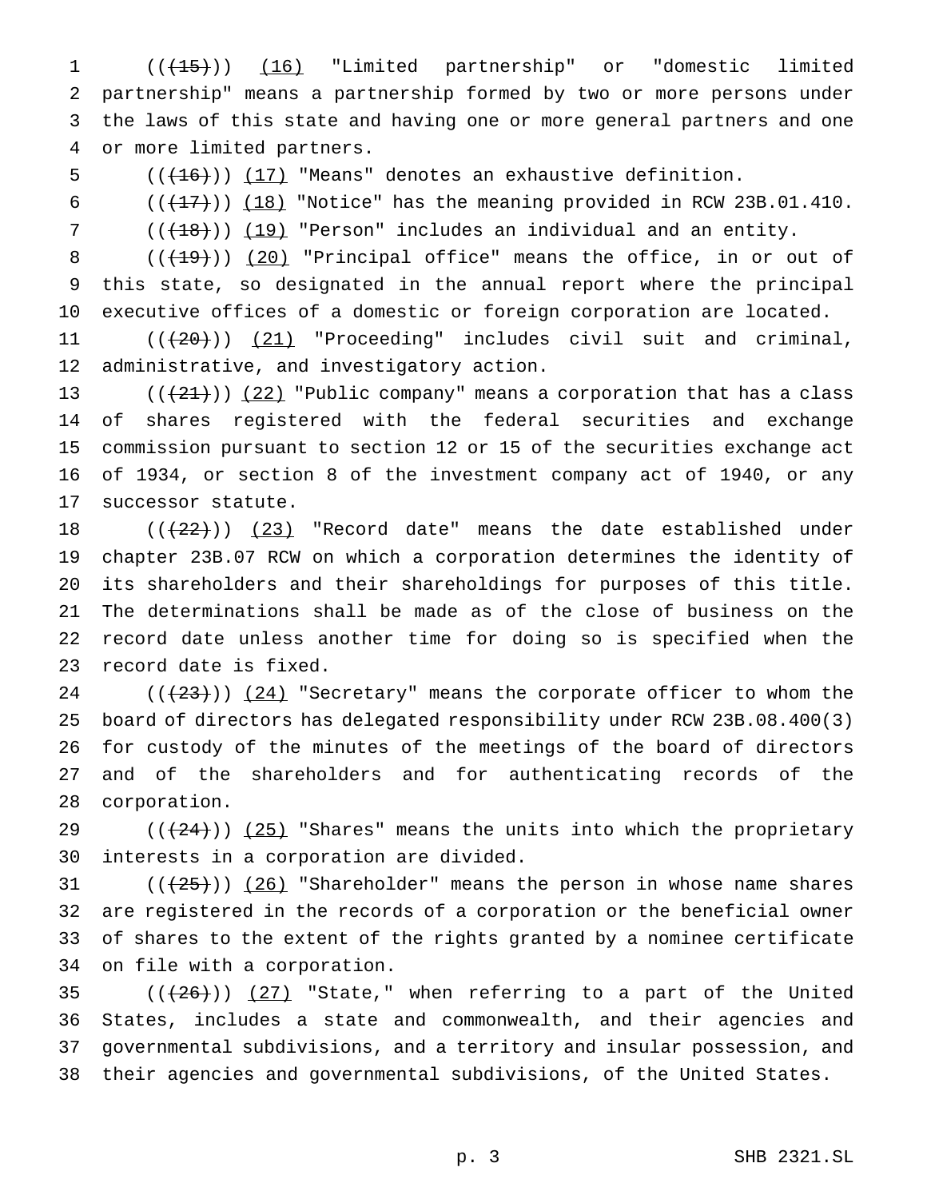(((15))) (16) "Limited partnership" or "domestic limited partnership" means a partnership formed by two or more persons under the laws of this state and having one or more general partners and one or more limited partners.

5 ( $(\overline{+16})$ ) (17) "Means" denotes an exhaustive definition.

 $((+17))$   $(18)$  "Notice" has the meaning provided in RCW 23B.01.410. ( $(\overline{+18})$ )  $(19)$  "Person" includes an individual and an entity.

8  $((+19))$   $(20)$  "Principal office" means the office, in or out of this state, so designated in the annual report where the principal executive offices of a domestic or foreign corporation are located.

11 ((<del>(20)</del>)) (21) "Proceeding" includes civil suit and criminal, administrative, and investigatory action.

13 ( $(\frac{21}{21})$ ) (22) "Public company" means a corporation that has a class of shares registered with the federal securities and exchange commission pursuant to section 12 or 15 of the securities exchange act of 1934, or section 8 of the investment company act of 1940, or any successor statute.

 $((+22))$   $(23)$  "Record date" means the date established under chapter 23B.07 RCW on which a corporation determines the identity of its shareholders and their shareholdings for purposes of this title. The determinations shall be made as of the close of business on the record date unless another time for doing so is specified when the record date is fixed.

 $((+23))$   $(24)$  "Secretary" means the corporate officer to whom the board of directors has delegated responsibility under RCW 23B.08.400(3) for custody of the minutes of the meetings of the board of directors and of the shareholders and for authenticating records of the corporation.

29  $((+24))$   $(25)$  "Shares" means the units into which the proprietary interests in a corporation are divided.

 $((25))$  (26) "Shareholder" means the person in whose name shares are registered in the records of a corporation or the beneficial owner of shares to the extent of the rights granted by a nominee certificate on file with a corporation.

 $((+26))$   $(27)$  "State," when referring to a part of the United States, includes a state and commonwealth, and their agencies and governmental subdivisions, and a territory and insular possession, and their agencies and governmental subdivisions, of the United States.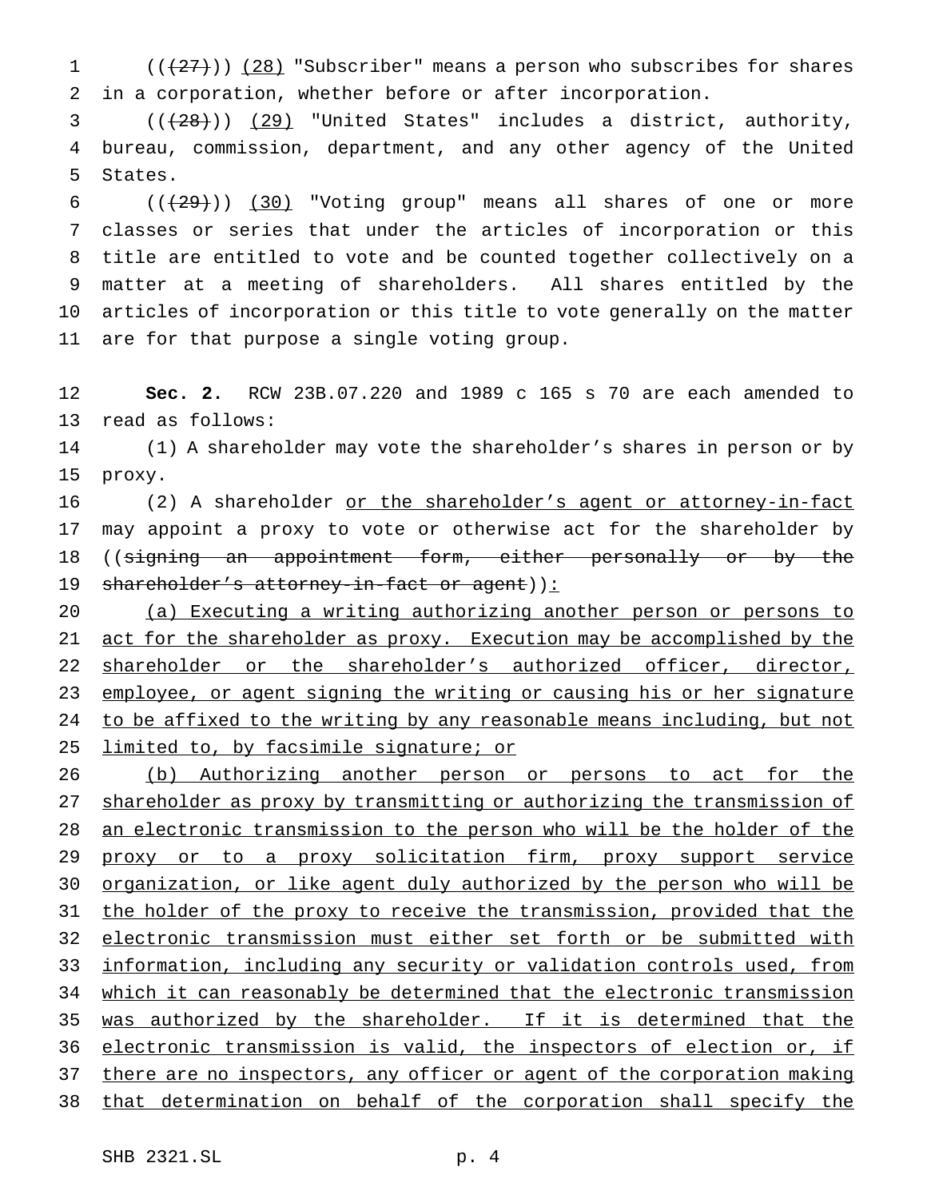1  $((+27))$   $(28)$  "Subscriber" means a person who subscribes for shares in a corporation, whether before or after incorporation.

  $((+28))$   $(29)$  "United States" includes a district, authority, bureau, commission, department, and any other agency of the United States.

 $((+29))$   $(30)$  "Voting group" means all shares of one or more classes or series that under the articles of incorporation or this title are entitled to vote and be counted together collectively on a matter at a meeting of shareholders. All shares entitled by the articles of incorporation or this title to vote generally on the matter are for that purpose a single voting group.

 **Sec. 2.** RCW 23B.07.220 and 1989 c 165 s 70 are each amended to read as follows:

 (1) A shareholder may vote the shareholder's shares in person or by proxy.

 (2) A shareholder or the shareholder's agent or attorney-in-fact may appoint a proxy to vote or otherwise act for the shareholder by 18 ((signing an appointment form, either personally or by the 19 shareholder's attorney-in-fact or agent)):

 (a) Executing a writing authorizing another person or persons to 21 act for the shareholder as proxy. Execution may be accomplished by the 22 shareholder or the shareholder's authorized officer, director, employee, or agent signing the writing or causing his or her signature 24 to be affixed to the writing by any reasonable means including, but not 25 limited to, by facsimile signature; or

 (b) Authorizing another person or persons to act for the 27 shareholder as proxy by transmitting or authorizing the transmission of an electronic transmission to the person who will be the holder of the proxy or to a proxy solicitation firm, proxy support service organization, or like agent duly authorized by the person who will be 31 the holder of the proxy to receive the transmission, provided that the electronic transmission must either set forth or be submitted with information, including any security or validation controls used, from which it can reasonably be determined that the electronic transmission 35 was authorized by the shareholder. If it is determined that the electronic transmission is valid, the inspectors of election or, if 37 there are no inspectors, any officer or agent of the corporation making that determination on behalf of the corporation shall specify the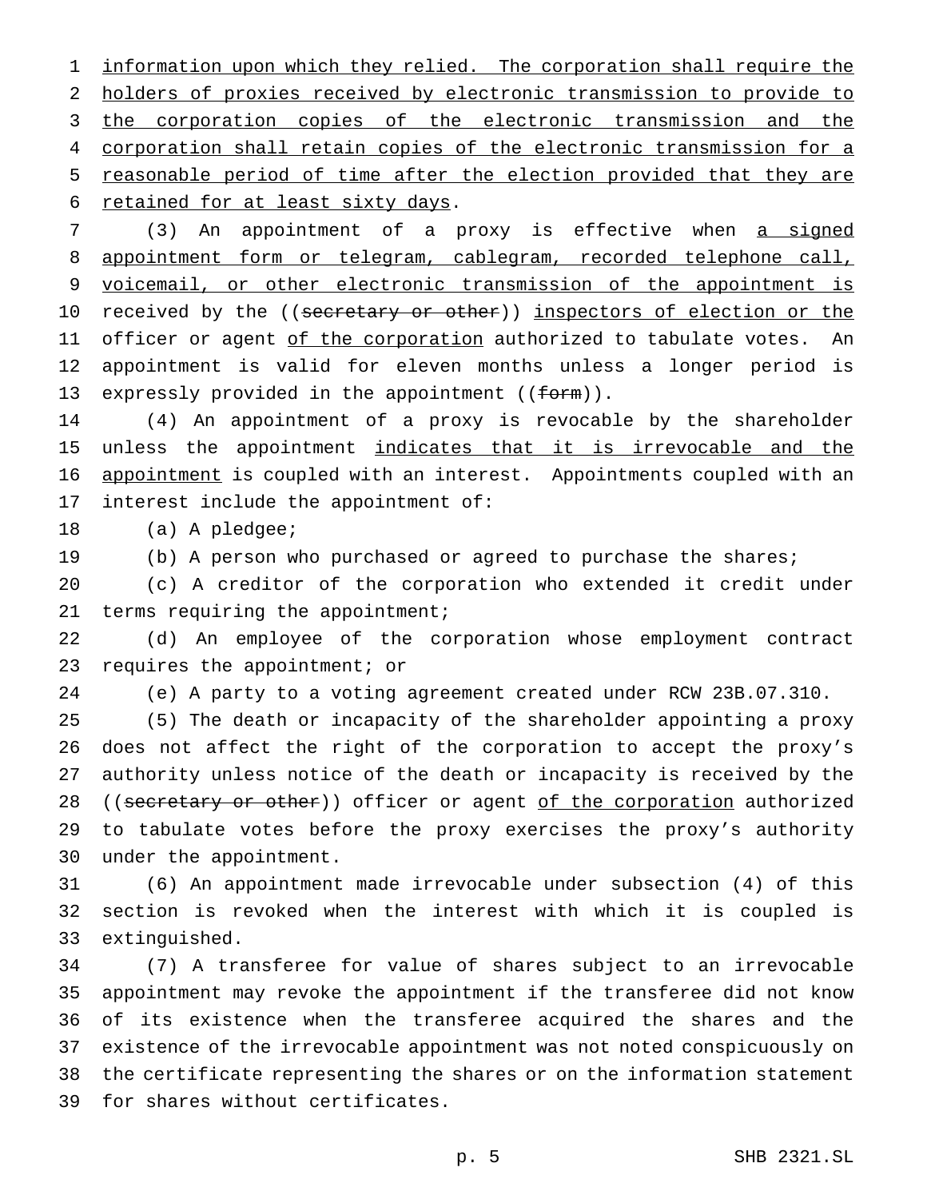information upon which they relied. The corporation shall require the holders of proxies received by electronic transmission to provide to 3 the corporation copies of the electronic transmission and the corporation shall retain copies of the electronic transmission for a reasonable period of time after the election provided that they are retained for at least sixty days.

7 (3) An appointment of a proxy is effective when a signed 8 appointment form or telegram, cablegram, recorded telephone call, voicemail, or other electronic transmission of the appointment is 10 received by the ((secretary or other)) inspectors of election or the 11 officer or agent of the corporation authorized to tabulate votes. An appointment is valid for eleven months unless a longer period is 13 expressly provided in the appointment ((form)).

 (4) An appointment of a proxy is revocable by the shareholder 15 unless the appointment indicates that it is irrevocable and the appointment is coupled with an interest. Appointments coupled with an interest include the appointment of:

(a) A pledgee;

(b) A person who purchased or agreed to purchase the shares;

 (c) A creditor of the corporation who extended it credit under terms requiring the appointment;

 (d) An employee of the corporation whose employment contract 23 requires the appointment; or

(e) A party to a voting agreement created under RCW 23B.07.310.

 (5) The death or incapacity of the shareholder appointing a proxy does not affect the right of the corporation to accept the proxy's authority unless notice of the death or incapacity is received by the 28 ((secretary or other)) officer or agent of the corporation authorized to tabulate votes before the proxy exercises the proxy's authority under the appointment.

 (6) An appointment made irrevocable under subsection (4) of this section is revoked when the interest with which it is coupled is extinguished.

 (7) A transferee for value of shares subject to an irrevocable appointment may revoke the appointment if the transferee did not know of its existence when the transferee acquired the shares and the existence of the irrevocable appointment was not noted conspicuously on the certificate representing the shares or on the information statement for shares without certificates.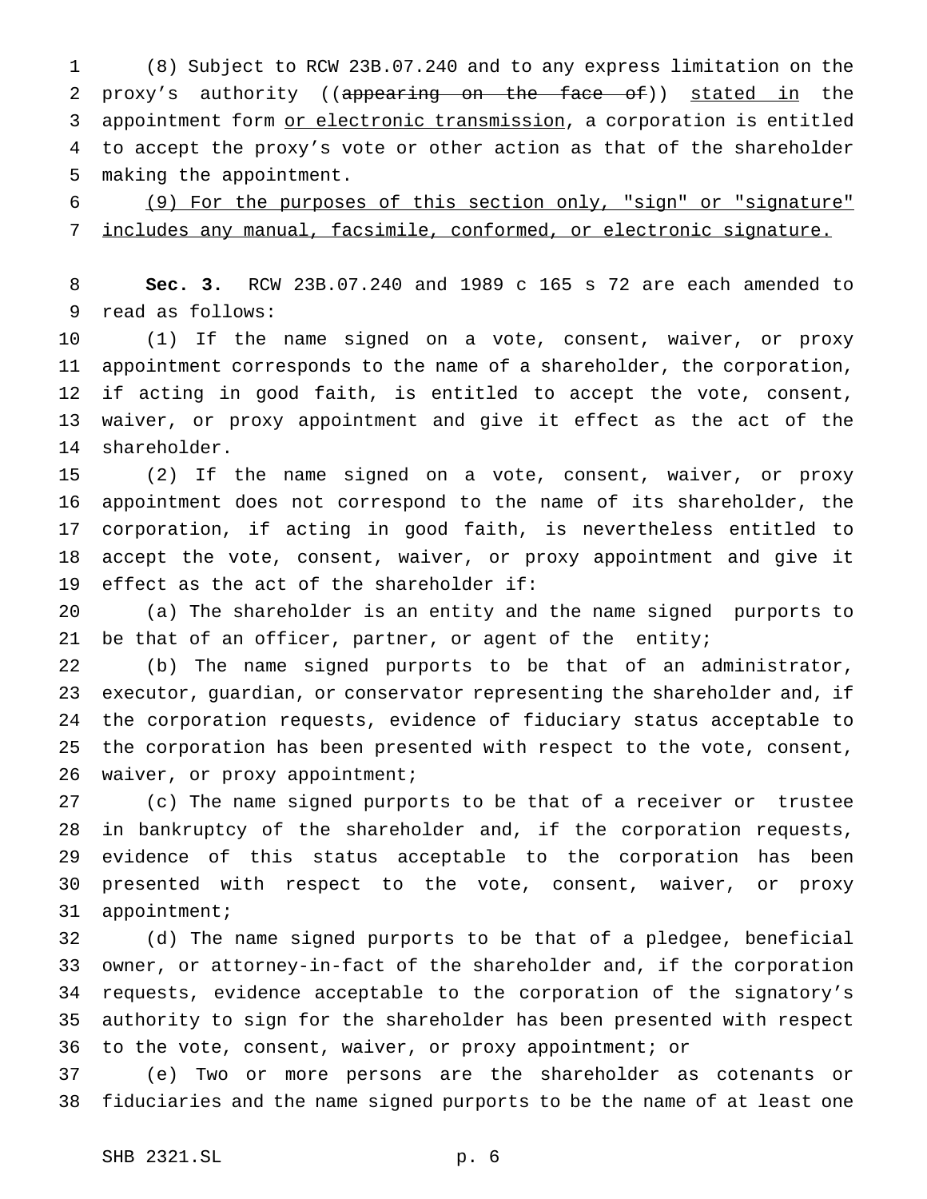(8) Subject to RCW 23B.07.240 and to any express limitation on the 2 proxy's authority ((appearing on the face of)) stated in the appointment form or electronic transmission, a corporation is entitled to accept the proxy's vote or other action as that of the shareholder making the appointment.

 (9) For the purposes of this section only, "sign" or "signature" includes any manual, facsimile, conformed, or electronic signature.

 **Sec. 3.** RCW 23B.07.240 and 1989 c 165 s 72 are each amended to read as follows:

 (1) If the name signed on a vote, consent, waiver, or proxy appointment corresponds to the name of a shareholder, the corporation, if acting in good faith, is entitled to accept the vote, consent, waiver, or proxy appointment and give it effect as the act of the shareholder.

 (2) If the name signed on a vote, consent, waiver, or proxy appointment does not correspond to the name of its shareholder, the corporation, if acting in good faith, is nevertheless entitled to accept the vote, consent, waiver, or proxy appointment and give it effect as the act of the shareholder if:

 (a) The shareholder is an entity and the name signed purports to 21 be that of an officer, partner, or agent of the entity;

 (b) The name signed purports to be that of an administrator, executor, guardian, or conservator representing the shareholder and, if the corporation requests, evidence of fiduciary status acceptable to the corporation has been presented with respect to the vote, consent, 26 waiver, or proxy appointment;

 (c) The name signed purports to be that of a receiver or trustee in bankruptcy of the shareholder and, if the corporation requests, evidence of this status acceptable to the corporation has been presented with respect to the vote, consent, waiver, or proxy appointment;

 (d) The name signed purports to be that of a pledgee, beneficial owner, or attorney-in-fact of the shareholder and, if the corporation requests, evidence acceptable to the corporation of the signatory's authority to sign for the shareholder has been presented with respect to the vote, consent, waiver, or proxy appointment; or

 (e) Two or more persons are the shareholder as cotenants or fiduciaries and the name signed purports to be the name of at least one